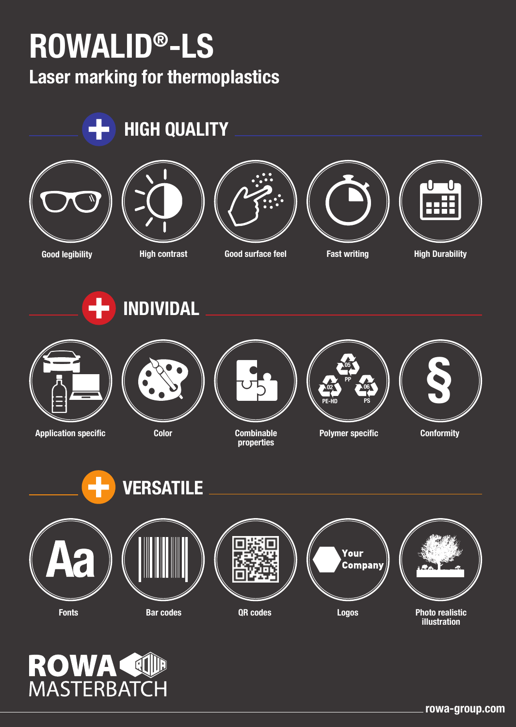## **ROWALID®-LS**

**Laser marking for thermoplastics**